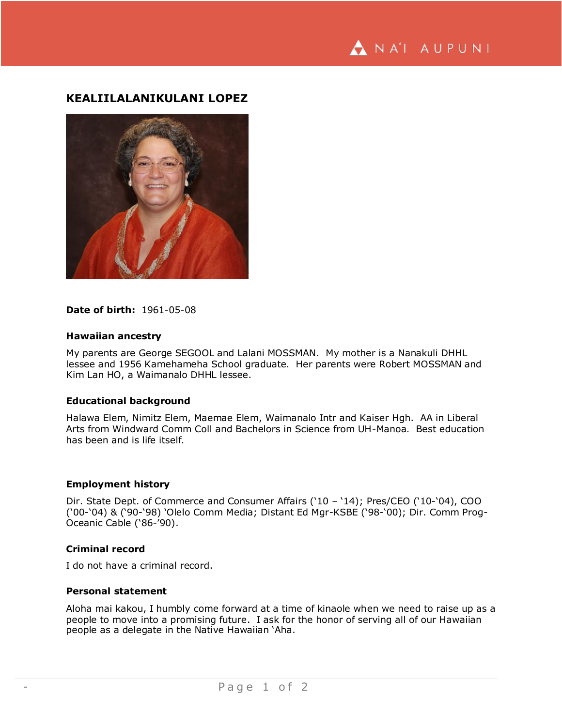NA'I AUPUNI

# **KEALIILALANIKULANI LOPEZ**



## **Date of birth:** 1961-05-08

#### **Hawaiian ancestry**

My parents are George SEGOOL and Lalani MOSSMAN. My mother is a Nanakuli DHHL lessee and 1956 Kamehameha School graduate. Her parents were Robert MOSSMAN and Kim Lan HO, a Waimanalo DHHL lessee.

## **Educational background**

Halawa Elem, Nimitz Elem, Maemae Elem, Waimanalo Intr and Kaiser Hgh. AA in Liberal Arts from Windward Comm Coll and Bachelors in Science from UH-Manoa. Best education has been and is life itself.

#### **Employment history**

Dir. State Dept. of Commerce and Consumer Affairs ('10 – '14); Pres/CEO ('10-'04), COO ('00-'04) & ('90-'98) 'Olelo Comm Media; Distant Ed Mgr-KSBE ('98-'00); Dir. Comm Prog-Oceanic Cable ('86-'90).

## **Criminal record**

I do not have a criminal record.

## **Personal statement**

Aloha mai kakou, I humbly come forward at a time of kinaole when we need to raise up as a people to move into a promising future. I ask for the honor of serving all of our Hawaiian people as a delegate in the Native Hawaiian 'Aha.